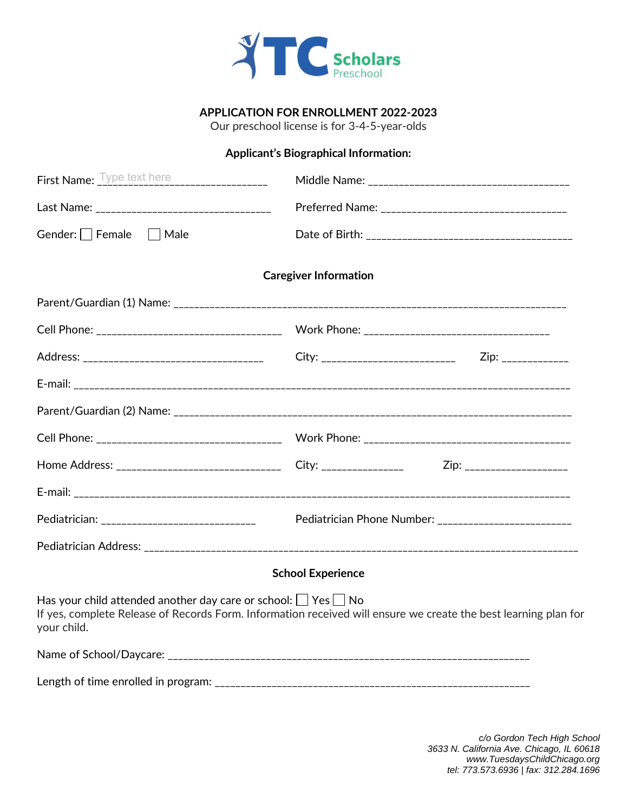

## **APPLICATION FOR ENROLLMENT 2022-2023**

Our preschool license is for 3-4-5-year-olds

## **Applicant's Biographical Information:**

| Gender: Female   Male                                                                                                                                                                                      |                              |  |
|------------------------------------------------------------------------------------------------------------------------------------------------------------------------------------------------------------|------------------------------|--|
|                                                                                                                                                                                                            | <b>Caregiver Information</b> |  |
|                                                                                                                                                                                                            |                              |  |
|                                                                                                                                                                                                            |                              |  |
|                                                                                                                                                                                                            |                              |  |
|                                                                                                                                                                                                            |                              |  |
|                                                                                                                                                                                                            |                              |  |
|                                                                                                                                                                                                            |                              |  |
| Home Address: __________________________________City: ___________________________Zip: ________________________                                                                                             |                              |  |
|                                                                                                                                                                                                            |                              |  |
|                                                                                                                                                                                                            |                              |  |
|                                                                                                                                                                                                            |                              |  |
|                                                                                                                                                                                                            | <b>School Experience</b>     |  |
| Has your child attended another day care or school: $\Box$ Yes $\Box$ No<br>If yes, complete Release of Records Form. Information received will ensure we create the best learning plan for<br>your child. |                              |  |
|                                                                                                                                                                                                            |                              |  |
|                                                                                                                                                                                                            |                              |  |

*c/o Gordon Tech High School 3633 N. California Ave. Chicago, IL 60618 www.TuesdaysChildChicago.org tel: 773.573.6936 | fax: 312.284.1696*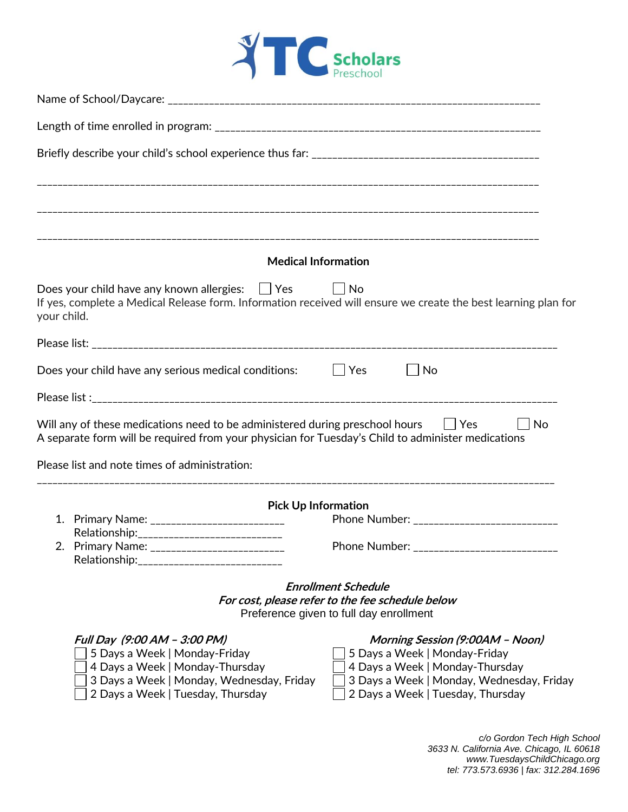

| <b>Medical Information</b>                                                                                                                                                                      |                                                                                |
|-------------------------------------------------------------------------------------------------------------------------------------------------------------------------------------------------|--------------------------------------------------------------------------------|
| Does your child have any known allergies: $\Box$ Yes $\Box$ No<br>If yes, complete a Medical Release form. Information received will ensure we create the best learning plan for<br>your child. |                                                                                |
|                                                                                                                                                                                                 |                                                                                |
| Does your child have any serious medical conditions: $\Box$ Yes                                                                                                                                 | No                                                                             |
|                                                                                                                                                                                                 |                                                                                |
| Will any of these medications need to be administered during preschool hours $\Box$ Yes<br>A separate form will be required from your physician for Tuesday's Child to administer medications   | $\vert$ No                                                                     |
| Please list and note times of administration:                                                                                                                                                   |                                                                                |
|                                                                                                                                                                                                 |                                                                                |
| <b>Pick Up Information</b><br>1. Primary Name: ___________________________                                                                                                                      | Phone Number: _____________________________                                    |
| Relationship: _____________________________                                                                                                                                                     |                                                                                |
| 2. Primary Name: __________________________<br>Relationship:                                                                                                                                    | Phone Number: _____________________________                                    |
|                                                                                                                                                                                                 |                                                                                |
|                                                                                                                                                                                                 | <b>Enrollment Schedule</b><br>For cost, please refer to the fee schedule below |
|                                                                                                                                                                                                 | Preference given to full day enrollment                                        |
| Full Day (9:00 AM - 3:00 PM)                                                                                                                                                                    | Morning Session (9:00AM - Noon)                                                |
| 5 Days a Week   Monday-Friday                                                                                                                                                                   | 5 Days a Week   Monday-Friday                                                  |
| 4 Days a Week   Monday-Thursday                                                                                                                                                                 | 4 Days a Week   Monday-Thursday                                                |
| 3 Days a Week   Monday, Wednesday, Friday<br>2 Days a Week   Tuesday, Thursday                                                                                                                  | 3 Days a Week   Monday, Wednesday, Friday<br>2 Days a Week   Tuesday, Thursday |

*c/o Gordon Tech High School 3633 N. California Ave. Chicago, IL 60618 www.TuesdaysChildChicago.org tel: 773.573.6936 | fax: 312.284.1696*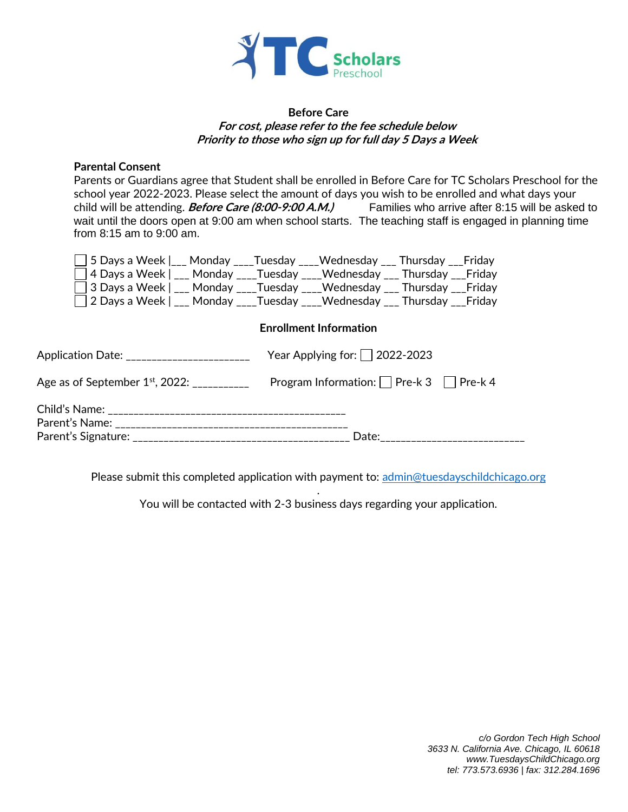

#### **Before Care For cost, please refer to the fee schedule below Priority to those who sign up for full day 5 Days a Week**

#### **Parental Consent**

Parents or Guardians agree that Student shall be enrolled in Before Care for TC Scholars Preschool for the school year 2022-2023. Please select the amount of days you wish to be enrolled and what days your child will be attending. **Before Care (8:00-9:00 A.M.)** Families who arrive after 8:15 will be asked to wait until the doors open at 9:00 am when school starts. The teaching staff is engaged in planning time from 8:15 am to 9:00 am.

| □ 5 Days a Week  ___ Monday ____ Tuesday ____ Wednesday ___ Thursday ___ Friday |                                     |  |
|---------------------------------------------------------------------------------|-------------------------------------|--|
| □ 4 Days a Week   ___ Monday ____Tuesday ____Wednesday ___ Thursday ___ Friday  |                                     |  |
| □ 3 Days a Week   ___ Monday ____Tuesday ____Wednesday ___ Thursday ___ Friday  |                                     |  |
| □ 2 Days a Week   ___ Monday ____Tuesday ____Wednesday ___ Thursday ___ Friday  |                                     |  |
|                                                                                 | <b>Enrollment Information</b>       |  |
| Application Date: _                                                             | Year Applying for: $\Box$ 2022-2023 |  |

|                                             | $1$ can $1$ wpights $1011$ $12022$ EUEU            |
|---------------------------------------------|----------------------------------------------------|
| Age as of September $1^\mathrm{st}$ , 2022: | Program Information: $\Box$ Pre-k 3 $\Box$ Pre-k 4 |
|                                             |                                                    |
| Parent's Name:                              |                                                    |
|                                             | Date:                                              |

Please submit this completed application with payment to: [admin@tuesdayschildchicago.org](mailto:admin@tuesdayschildchicago.org)

. You will be contacted with 2-3 business days regarding your application.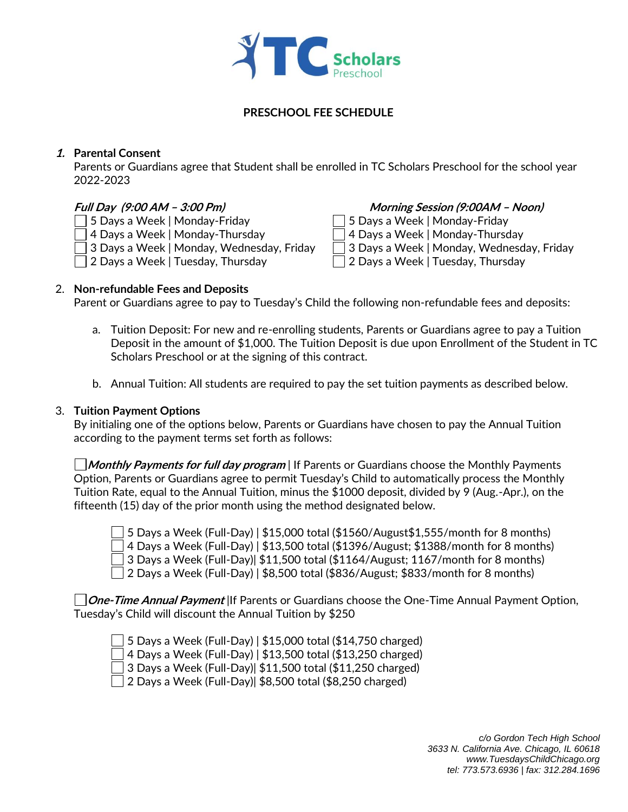

### **PRESCHOOL FEE SCHEDULE**

#### **1. Parental Consent**

Parents or Guardians agree that Student shall be enrolled in TC Scholars Preschool for the school year 2022-2023

 $\Box$  5 Days a Week | Monday-Friday  $\Box$  5 Days a Week | Monday-Friday

- $\Box$  4 Days a Week | Monday-Thursday  $\Box$  4 Days a Week | Monday-Thursday
- $\Box$  3 Days a Week | Monday, Wednesday, Friday  $\Box$  3 Days a Week | Monday, Wednesday, Friday
- 2 Days a Week | Tuesday, Thursday 2 Days a Week | Tuesday, Thursday

### **Full Day (9:00 AM – 3:00 Pm) Morning Session (9:00AM – Noon)**

- 
- 
- 
- 

#### 2. **Non-refundable Fees and Deposits**

Parent or Guardians agree to pay to Tuesday's Child the following non-refundable fees and deposits:

- a. Tuition Deposit: For new and re-enrolling students, Parents or Guardians agree to pay a Tuition Deposit in the amount of \$1,000. The Tuition Deposit is due upon Enrollment of the Student in TC Scholars Preschool or at the signing of this contract.
- b. Annual Tuition: All students are required to pay the set tuition payments as described below.

#### 3. **Tuition Payment Options**

By initialing one of the options below, Parents or Guardians have chosen to pay the Annual Tuition according to the payment terms set forth as follows:

**Monthly Payments for full day program** | If Parents or Guardians choose the Monthly Payments Option, Parents or Guardians agree to permit Tuesday's Child to automatically process the Monthly Tuition Rate, equal to the Annual Tuition, minus the \$1000 deposit, divided by 9 (Aug.-Apr.), on the fifteenth (15) day of the prior month using the method designated below.

 $\Box$  5 Days a Week (Full-Day) | \$15,000 total (\$1560/August\$1,555/month for 8 months)  $\Box$  4 Days a Week (Full-Day) | \$13,500 total (\$1396/August; \$1388/month for 8 months)  $\overline{\phantom{x}}$  3 Days a Week (Full-Day)| \$11,500 total (\$1164/August; 1167/month for 8 months)  $\Box$  2 Days a Week (Full-Day) | \$8,500 total (\$836/August; \$833/month for 8 months)

**One-Time Annual Payment** |If Parents or Guardians choose the One-Time Annual Payment Option, Tuesday's Child will discount the Annual Tuition by \$250

5 Days a Week (Full-Day) | \$15,000 total (\$14,750 charged)

4 Days a Week (Full-Day) | \$13,500 total (\$13,250 charged)

3 Days a Week (Full-Day)| \$11,500 total (\$11,250 charged)

 $\Box$  2 Days a Week (Full-Day)| \$8,500 total (\$8,250 charged)

*c/o Gordon Tech High School 3633 N. California Ave. Chicago, IL 60618 www.TuesdaysChildChicago.org tel: 773.573.6936 | fax: 312.284.1696*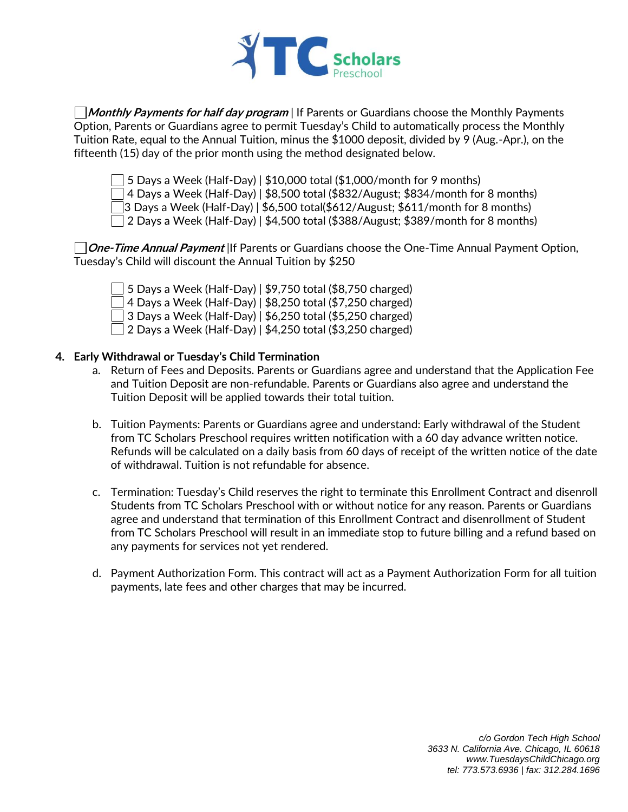

**Monthly Payments for half day program** | If Parents or Guardians choose the Monthly Payments Option, Parents or Guardians agree to permit Tuesday's Child to automatically process the Monthly Tuition Rate, equal to the Annual Tuition, minus the \$1000 deposit, divided by 9 (Aug.-Apr.), on the fifteenth (15) day of the prior month using the method designated below.

 $\Box$  5 Days a Week (Half-Day) | \$10,000 total (\$1,000/month for 9 months)

 $\Box$  4 Days a Week (Half-Day) | \$8,500 total (\$832/August; \$834/month for 8 months)

3 Days a Week (Half-Day) | \$6,500 total(\$612/August; \$611/month for 8 months)

 $\Box$  2 Days a Week (Half-Day) | \$4,500 total (\$388/August; \$389/month for 8 months)

**One-Time Annual Payment** |If Parents or Guardians choose the One-Time Annual Payment Option, Tuesday's Child will discount the Annual Tuition by \$250

 $\Box$  5 Days a Week (Half-Day) | \$9,750 total (\$8,750 charged)  $\Box$  4 Days a Week (Half-Day) | \$8,250 total (\$7,250 charged) 3 Days a Week (Half-Day) | \$6,250 total (\$5,250 charged)  $\Box$  2 Days a Week (Half-Day) | \$4,250 total (\$3,250 charged)

#### **4. Early Withdrawal or Tuesday's Child Termination**

- a. Return of Fees and Deposits. Parents or Guardians agree and understand that the Application Fee and Tuition Deposit are non-refundable. Parents or Guardians also agree and understand the Tuition Deposit will be applied towards their total tuition.
- b. Tuition Payments: Parents or Guardians agree and understand: Early withdrawal of the Student from TC Scholars Preschool requires written notification with a 60 day advance written notice. Refunds will be calculated on a daily basis from 60 days of receipt of the written notice of the date of withdrawal. Tuition is not refundable for absence.
- c. Termination: Tuesday's Child reserves the right to terminate this Enrollment Contract and disenroll Students from TC Scholars Preschool with or without notice for any reason. Parents or Guardians agree and understand that termination of this Enrollment Contract and disenrollment of Student from TC Scholars Preschool will result in an immediate stop to future billing and a refund based on any payments for services not yet rendered.
- d. Payment Authorization Form. This contract will act as a Payment Authorization Form for all tuition payments, late fees and other charges that may be incurred.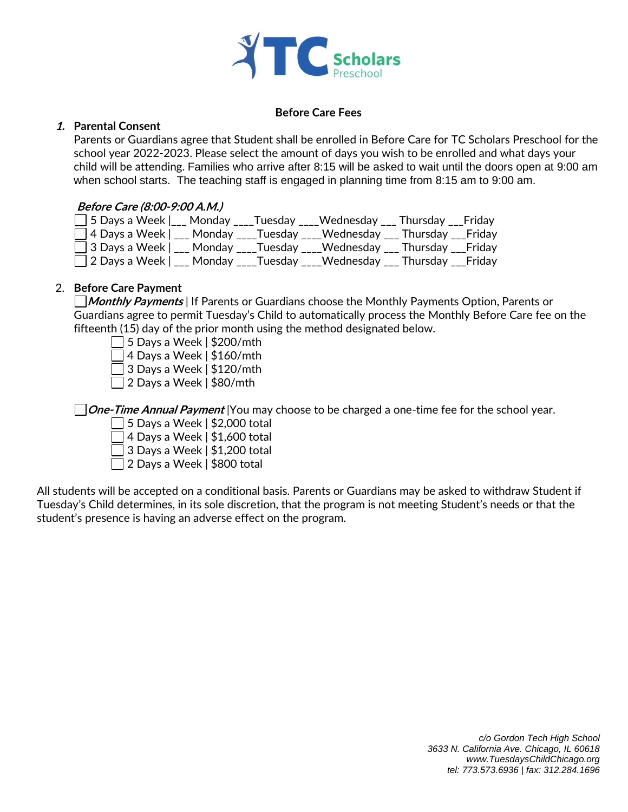

#### **Before Care Fees**

#### **1. Parental Consent**

Parents or Guardians agree that Student shall be enrolled in Before Care for TC Scholars Preschool for the school year 2022-2023. Please select the amount of days you wish to be enrolled and what days your child will be attending. Families who arrive after 8:15 will be asked to wait until the doors open at 9:00 am when school starts. The teaching staff is engaged in planning time from 8:15 am to 9:00 am.

#### **Before Care (8:00-9:00 A.M.)**

| □ 5 Days a Week  ___ Monday ____Tuesday ____Wednesday ___ Thursday ___Friday  |  |  |  |
|-------------------------------------------------------------------------------|--|--|--|
| □ 4 Days a Week   ___ Monday ____Tuesday ____Wednesday ___ Thursday ___Friday |  |  |  |
| □ 3 Days a Week   ___ Monday ____Tuesday ____Wednesday ___ Thursday ___Friday |  |  |  |
| □ 2 Days a Week   ___ Monday ____Tuesday ____Wednesday ___ Thursday ___Friday |  |  |  |

#### 2. **Before Care Payment**

**Monthly Payments** | If Parents or Guardians choose the Monthly Payments Option, Parents or Guardians agree to permit Tuesday's Child to automatically process the Monthly Before Care fee on the fifteenth (15) day of the prior month using the method designated below.

- $\Box$  5 Days a Week | \$200/mth
- $\Box$  4 Days a Week | \$160/mth
- $\Box$  3 Days a Week | \$120/mth
- $\Box$  2 Days a Week | \$80/mth

**One-Time Annual Payment** |You may choose to be charged a one-time fee for the school year.

- $\overline{\phantom{a}}$  5 Days a Week | \$2,000 total
- $\Box$  4 Days a Week | \$1,600 total
- $\Box$  3 Days a Week  $\vert$  \$1,200 total
- $\Box$  2 Days a Week | \$800 total

All students will be accepted on a conditional basis. Parents or Guardians may be asked to withdraw Student if Tuesday's Child determines, in its sole discretion, that the program is not meeting Student's needs or that the student's presence is having an adverse effect on the program.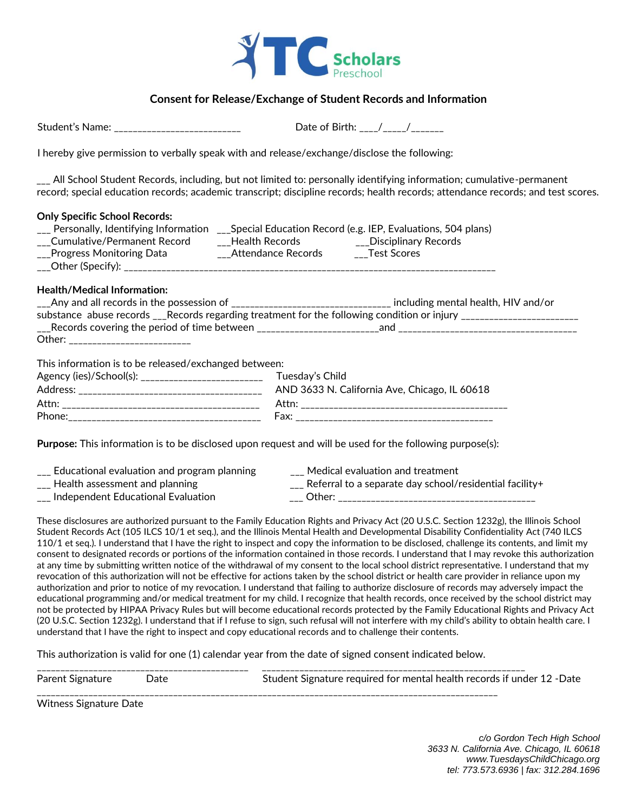

#### **Consent for Release/Exchange of Student Records and Information**

Student's Name: \_\_\_\_\_\_\_\_\_\_\_\_\_\_\_\_\_\_\_\_\_\_\_\_\_\_\_ Date of Birth: \_\_\_\_/\_\_\_\_\_/\_\_\_\_\_\_\_

I hereby give permission to verbally speak with and release/exchange/disclose the following:

\_\_\_ All School Student Records, including, but not limited to: personally identifying information; cumulative-permanent record; special education records; academic transcript; discipline records; health records; attendance records; and test scores.

#### **Only Specific School Records:**

| Personally, Identifying Information |                    | __Special Education Record (e.g. IEP, Evaluations, 504 plans) |
|-------------------------------------|--------------------|---------------------------------------------------------------|
| Cumulative/Permanent Record         | Health Records     | Disciplinary Records                                          |
| __Progress Monitoring Data          | Attendance Records | Test Scores                                                   |
| $\_\_$ Other (Specify): $\_\_$      |                    |                                                               |

# **Health/Medical Information:**

|                                                       | ___Any and all records in the possession of ________________________________ including mental health, HIV and/or                                                                                                                                                                          |
|-------------------------------------------------------|-------------------------------------------------------------------------------------------------------------------------------------------------------------------------------------------------------------------------------------------------------------------------------------------|
|                                                       | substance abuse records ___Records regarding treatment for the following condition or injury ____________________                                                                                                                                                                         |
|                                                       | $\frac{1}{2}$ Records covering the period of time between $\frac{1}{2}$ = $\frac{1}{2}$ = $\frac{1}{2}$ = $\frac{1}{2}$ = $\frac{1}{2}$ = $\frac{1}{2}$ = $\frac{1}{2}$ = $\frac{1}{2}$ = $\frac{1}{2}$ = $\frac{1}{2}$ = $\frac{1}{2}$ = $\frac{1}{2}$ = $\frac{1}{2}$ = $\frac{1}{2}$ = |
| Other: __________________________                     |                                                                                                                                                                                                                                                                                           |
|                                                       |                                                                                                                                                                                                                                                                                           |
| This information is to be released/exchanged between: |                                                                                                                                                                                                                                                                                           |
| Agency (ies)/School(s): ___________________________   | Tuesday's Child                                                                                                                                                                                                                                                                           |
|                                                       | AND 3633 N. California Ave, Chicago, IL 60618                                                                                                                                                                                                                                             |
|                                                       |                                                                                                                                                                                                                                                                                           |

**Purpose:** This information is to be disclosed upon request and will be used for the following purpose(s):

Phone:\_\_\_\_\_\_\_\_\_\_\_\_\_\_\_\_\_\_\_\_\_\_\_\_\_\_\_\_\_\_\_\_\_\_\_\_\_\_\_\_\_ Fax: \_\_\_\_\_\_\_\_\_\_\_\_\_\_\_\_\_\_\_\_\_\_\_\_\_\_\_\_\_\_\_\_\_\_\_\_\_\_\_\_\_\_

| Educational evaluation and program planning | Medical evaluation and treatment                        |
|---------------------------------------------|---------------------------------------------------------|
| Health assessment and planning              | Referral to a separate day school/residential facility+ |
| Independent Educational Evaluation          | Other:                                                  |

These disclosures are authorized pursuant to the Family Education Rights and Privacy Act (20 U.S.C. Section 1232g), the Illinois School Student Records Act (105 ILCS 10/1 et seq.), and the Illinois Mental Health and Developmental Disability Confidentiality Act (740 ILCS 110/1 et seq.). I understand that I have the right to inspect and copy the information to be disclosed, challenge its contents, and limit my consent to designated records or portions of the information contained in those records. I understand that I may revoke this authorization at any time by submitting written notice of the withdrawal of my consent to the local school district representative. I understand that my revocation of this authorization will not be effective for actions taken by the school district or health care provider in reliance upon my authorization and prior to notice of my revocation. I understand that failing to authorize disclosure of records may adversely impact the educational programming and/or medical treatment for my child. I recognize that health records, once received by the school district may not be protected by HIPAA Privacy Rules but will become educational records protected by the Family Educational Rights and Privacy Act (20 U.S.C. Section 1232g). I understand that if I refuse to sign, such refusal will not interfere with my child's ability to obtain health care. I understand that I have the right to inspect and copy educational records and to challenge their contents.

This authorization is valid for one (1) calendar year from the date of signed consent indicated below.

| Parent Signature | Date | Student Signature required for mental health records if under 12 - Date |
|------------------|------|-------------------------------------------------------------------------|
|                  |      |                                                                         |

Witness Signature Date